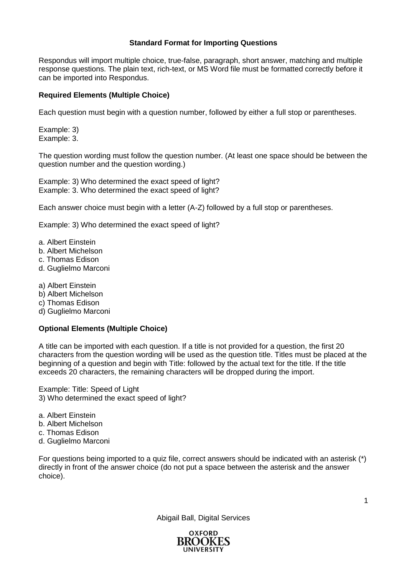## **Standard Format for Importing Questions**

Respondus will import multiple choice, true-false, paragraph, short answer, matching and multiple response questions. The plain text, rich-text, or MS Word file must be formatted correctly before it can be imported into Respondus.

# **Required Elements (Multiple Choice)**

Each question must begin with a question number, followed by either a full stop or parentheses.

Example: 3) Example: 3.

The question wording must follow the question number. (At least one space should be between the question number and the question wording.)

Example: 3) Who determined the exact speed of light? Example: 3. Who determined the exact speed of light?

Each answer choice must begin with a letter (A-Z) followed by a full stop or parentheses.

Example: 3) Who determined the exact speed of light?

- a. Albert Einstein
- b. Albert Michelson
- c. Thomas Edison
- d. Guglielmo Marconi
- a) Albert Einstein
- b) Albert Michelson
- c) Thomas Edison
- d) Guglielmo Marconi

# **Optional Elements (Multiple Choice)**

A title can be imported with each question. If a title is not provided for a question, the first 20 characters from the question wording will be used as the question title. Titles must be placed at the beginning of a question and begin with Title: followed by the actual text for the title. If the title exceeds 20 characters, the remaining characters will be dropped during the import.

Example: Title: Speed of Light 3) Who determined the exact speed of light?

- a. Albert Einstein
- b. Albert Michelson
- c. Thomas Edison
- d. Guglielmo Marconi

For questions being imported to a quiz file, correct answers should be indicated with an asterisk (\*) directly in front of the answer choice (do not put a space between the asterisk and the answer choice).



Abigail Ball, Digital Services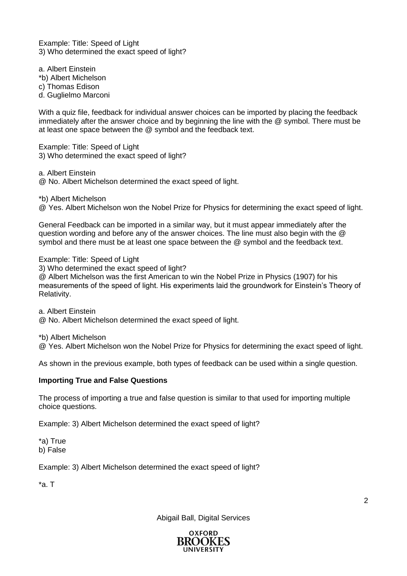Example: Title: Speed of Light 3) Who determined the exact speed of light?

a. Albert Einstein \*b) Albert Michelson c) Thomas Edison d. Guglielmo Marconi

With a quiz file, feedback for individual answer choices can be imported by placing the feedback immediately after the answer choice and by beginning the line with the @ symbol. There must be at least one space between the @ symbol and the feedback text.

Example: Title: Speed of Light 3) Who determined the exact speed of light?

a. Albert Einstein

@ No. Albert Michelson determined the exact speed of light.

\*b) Albert Michelson

@ Yes. Albert Michelson won the Nobel Prize for Physics for determining the exact speed of light.

General Feedback can be imported in a similar way, but it must appear immediately after the question wording and before any of the answer choices. The line must also begin with the @ symbol and there must be at least one space between the @ symbol and the feedback text.

Example: Title: Speed of Light

3) Who determined the exact speed of light?

@ Albert Michelson was the first American to win the Nobel Prize in Physics (1907) for his measurements of the speed of light. His experiments laid the groundwork for Einstein's Theory of Relativity.

a. Albert Einstein

@ No. Albert Michelson determined the exact speed of light.

\*b) Albert Michelson

@ Yes. Albert Michelson won the Nobel Prize for Physics for determining the exact speed of light.

As shown in the previous example, both types of feedback can be used within a single question.

### **Importing True and False Questions**

The process of importing a true and false question is similar to that used for importing multiple choice questions.

Example: 3) Albert Michelson determined the exact speed of light?

\*a) True b) False

Example: 3) Albert Michelson determined the exact speed of light?

\*a. T

Abigail Ball, Digital Services

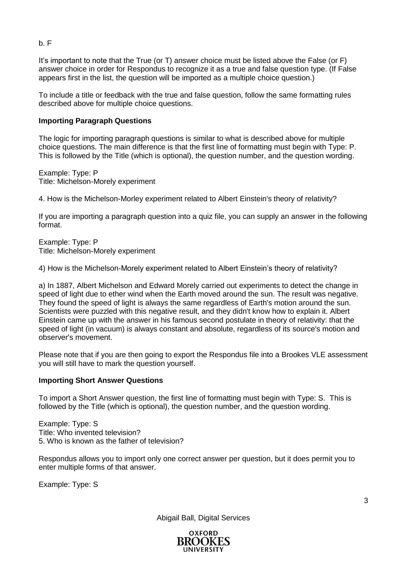It's important to note that the True (or T) answer choice must be listed above the False (or F) answer choice in order for Respondus to recognize it as a true and false question type. (If False appears first in the list, the question will be imported as a multiple choice question.)

To include a title or feedback with the true and false question, follow the same formatting rules described above for multiple choice questions.

## **Importing Paragraph Questions**

The logic for importing paragraph questions is similar to what is described above for multiple choice questions. The main difference is that the first line of formatting must begin with Type: P. This is followed by the Title (which is optional), the question number, and the question wording.

Example: Type: P Title: Michelson-Morely experiment

4. How is the Michelson-Morley experiment related to Albert Einstein's theory of relativity?

If you are importing a paragraph question into a quiz file, you can supply an answer in the following format.

Example: Type: P Title: Michelson-Morely experiment

4) How is the Michelson-Morely experiment related to Albert Einstein's theory of relativity?

a) In 1887, Albert Michelson and Edward Morely carried out experiments to detect the change in speed of light due to ether wind when the Earth moved around the sun. The result was negative. They found the speed of light is always the same regardless of Earth's motion around the sun. Scientists were puzzled with this negative result, and they didn't know how to explain it. Albert Einstein came up with the answer in his famous second postulate in theory of relativity: that the speed of light (in vacuum) is always constant and absolute, regardless of its source's motion and observer's movement.

Please note that if you are then going to export the Respondus file into a Brookes VLE assessment you will still have to mark the question yourself.

### **Importing Short Answer Questions**

To import a Short Answer question, the first line of formatting must begin with Type: S. This is followed by the Title (which is optional), the question number, and the question wording.

Example: Type: S Title: Who invented television? 5. Who is known as the father of television?

Respondus allows you to import only one correct answer per question, but it does permit you to enter multiple forms of that answer.

Example: Type: S



Abigail Ball, Digital Services

b. F